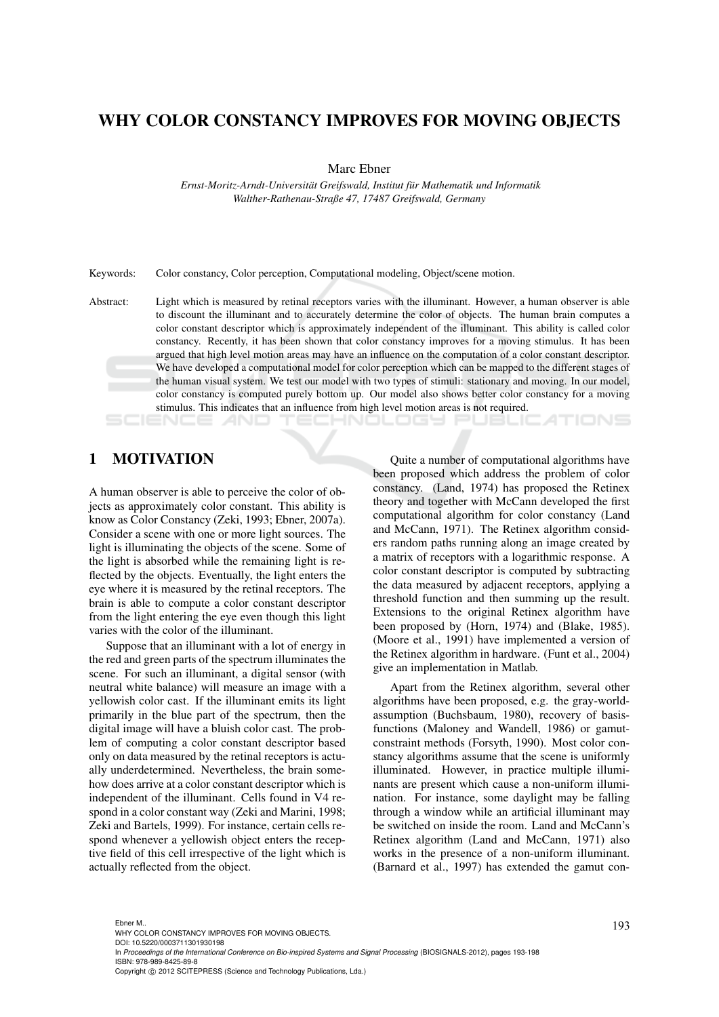## WHY COLOR CONSTANCY IMPROVES FOR MOVING OBJECTS

Marc Ebner

*Ernst-Moritz-Arndt-Universitat Greifswald, Institut f ¨ ur Mathematik und Informatik ¨ Walther-Rathenau-Straße 47, 17487 Greifswald, Germany*

Keywords: Color constancy, Color perception, Computational modeling, Object/scene motion.

Abstract: Light which is measured by retinal receptors varies with the illuminant. However, a human observer is able to discount the illuminant and to accurately determine the color of objects. The human brain computes a color constant descriptor which is approximately independent of the illuminant. This ability is called color constancy. Recently, it has been shown that color constancy improves for a moving stimulus. It has been argued that high level motion areas may have an influence on the computation of a color constant descriptor. We have developed a computational model for color perception which can be mapped to the different stages of the human visual system. We test our model with two types of stimuli: stationary and moving. In our model, color constancy is computed purely bottom up. Our model also shows better color constancy for a moving stimulus. This indicates that an influence from high level motion areas is not required.

1 N L L L L T S L

1 MOTIVATION

A human observer is able to perceive the color of objects as approximately color constant. This ability is know as Color Constancy (Zeki, 1993; Ebner, 2007a). Consider a scene with one or more light sources. The light is illuminating the objects of the scene. Some of the light is absorbed while the remaining light is reflected by the objects. Eventually, the light enters the eye where it is measured by the retinal receptors. The brain is able to compute a color constant descriptor from the light entering the eye even though this light varies with the color of the illuminant.

Suppose that an illuminant with a lot of energy in the red and green parts of the spectrum illuminates the scene. For such an illuminant, a digital sensor (with neutral white balance) will measure an image with a yellowish color cast. If the illuminant emits its light primarily in the blue part of the spectrum, then the digital image will have a bluish color cast. The problem of computing a color constant descriptor based only on data measured by the retinal receptors is actually underdetermined. Nevertheless, the brain somehow does arrive at a color constant descriptor which is independent of the illuminant. Cells found in V4 respond in a color constant way (Zeki and Marini, 1998; Zeki and Bartels, 1999). For instance, certain cells respond whenever a yellowish object enters the receptive field of this cell irrespective of the light which is actually reflected from the object.

Quite a number of computational algorithms have been proposed which address the problem of color constancy. (Land, 1974) has proposed the Retinex theory and together with McCann developed the first computational algorithm for color constancy (Land and McCann, 1971). The Retinex algorithm considers random paths running along an image created by a matrix of receptors with a logarithmic response. A color constant descriptor is computed by subtracting the data measured by adjacent receptors, applying a threshold function and then summing up the result. Extensions to the original Retinex algorithm have been proposed by (Horn, 1974) and (Blake, 1985). (Moore et al., 1991) have implemented a version of the Retinex algorithm in hardware. (Funt et al., 2004) give an implementation in Matlab.

Apart from the Retinex algorithm, several other algorithms have been proposed, e.g. the gray-worldassumption (Buchsbaum, 1980), recovery of basisfunctions (Maloney and Wandell, 1986) or gamutconstraint methods (Forsyth, 1990). Most color constancy algorithms assume that the scene is uniformly illuminated. However, in practice multiple illuminants are present which cause a non-uniform illumination. For instance, some daylight may be falling through a window while an artificial illuminant may be switched on inside the room. Land and McCann's Retinex algorithm (Land and McCann, 1971) also works in the presence of a non-uniform illuminant. (Barnard et al., 1997) has extended the gamut con-

193 Ebner M.. WHY COLOR CONSTANCY IMPROVES FOR MOVING OBJECTS.

DOI: 10.5220/0003711301930198

In *Proceedings of the International Conference on Bio-inspired Systems and Signal Processing* (BIOSIGNALS-2012), pages 193-198 ISBN: 978-989-8425-89-8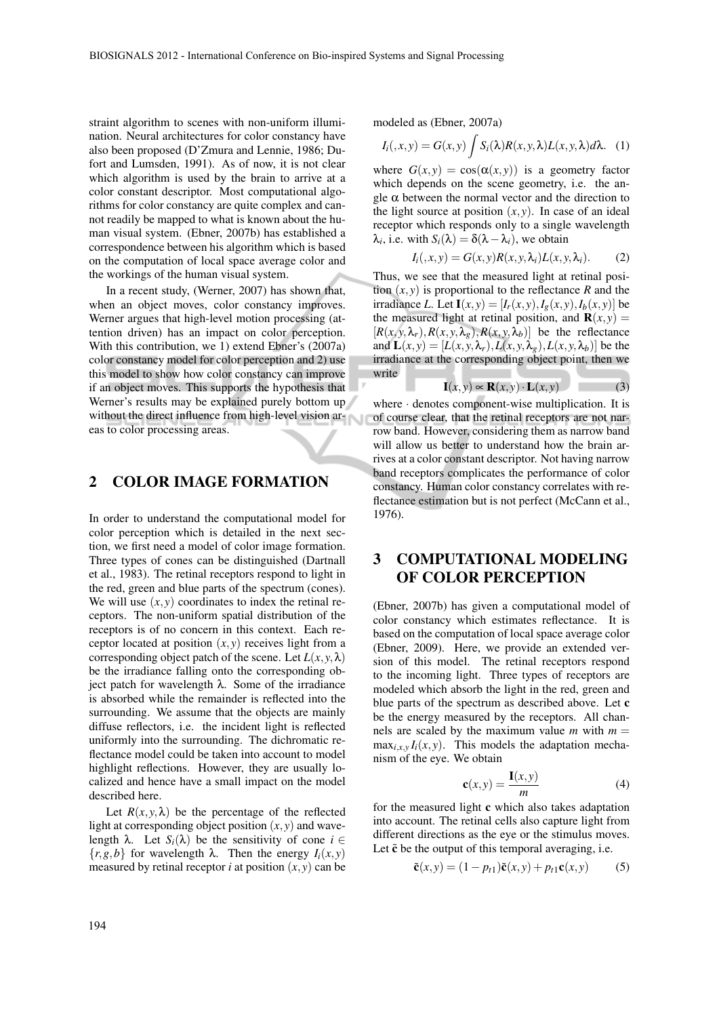straint algorithm to scenes with non-uniform illumination. Neural architectures for color constancy have also been proposed (D'Zmura and Lennie, 1986; Dufort and Lumsden, 1991). As of now, it is not clear which algorithm is used by the brain to arrive at a color constant descriptor. Most computational algorithms for color constancy are quite complex and cannot readily be mapped to what is known about the human visual system. (Ebner, 2007b) has established a correspondence between his algorithm which is based on the computation of local space average color and the workings of the human visual system.

In a recent study, (Werner, 2007) has shown that, when an object moves, color constancy improves. Werner argues that high-level motion processing (attention driven) has an impact on color perception. With this contribution, we 1) extend Ebner's (2007a) color constancy model for color perception and 2) use this model to show how color constancy can improve if an object moves. This supports the hypothesis that Werner's results may be explained purely bottom up without the direct influence from high-level vision areas to color processing areas.

### 2 COLOR IMAGE FORMATION

In order to understand the computational model for color perception which is detailed in the next section, we first need a model of color image formation. Three types of cones can be distinguished (Dartnall et al., 1983). The retinal receptors respond to light in the red, green and blue parts of the spectrum (cones). We will use  $(x, y)$  coordinates to index the retinal receptors. The non-uniform spatial distribution of the receptors is of no concern in this context. Each receptor located at position  $(x, y)$  receives light from a corresponding object patch of the scene. Let  $L(x, y, \lambda)$ be the irradiance falling onto the corresponding object patch for wavelength λ. Some of the irradiance is absorbed while the remainder is reflected into the surrounding. We assume that the objects are mainly diffuse reflectors, i.e. the incident light is reflected uniformly into the surrounding. The dichromatic reflectance model could be taken into account to model highlight reflections. However, they are usually localized and hence have a small impact on the model described here.

Let  $R(x, y, \lambda)$  be the percentage of the reflected light at corresponding object position  $(x, y)$  and wavelength  $\lambda$ . Let  $S_i(\lambda)$  be the sensitivity of cone  $i \in$ {*r*,*g*,*b*} for wavelength λ. Then the energy *Ii*(*x*, *y*) measured by retinal receptor *i* at position  $(x, y)$  can be modeled as (Ebner, 2007a)

$$
I_i(,x,y) = G(x,y) \int S_i(\lambda) R(x,y,\lambda) L(x,y,\lambda) d\lambda. \quad (1)
$$

where  $G(x, y) = \cos(\alpha(x, y))$  is a geometry factor which depends on the scene geometry, i.e. the angle  $\alpha$  between the normal vector and the direction to the light source at position  $(x, y)$ . In case of an ideal receptor which responds only to a single wavelength  $\lambda_i$ , i.e. with  $S_i(\lambda) = \delta(\lambda - \lambda_i)$ , we obtain

$$
I_i(x, y) = G(x, y)R(x, y, \lambda_i)L(x, y, \lambda_i).
$$
 (2)

Thus, we see that the measured light at retinal position  $(x, y)$  is proportional to the reflectance *R* and the irradiance *L*. Let  $I(x, y) = [I_r(x, y), I_g(x, y), I_b(x, y)]$  be the measured light at retinal position, and  $\mathbf{R}(x, y) =$  $[R(x, y, \lambda_r), R(x, y, \lambda_g), R(x, y, \lambda_b)]$  be the reflectance and  $\mathbf{L}(x, y) = [L(x, y, \lambda_r), L(x, y, \lambda_g), L(x, y, \lambda_b)]$  be the irradiance at the corresponding object point, then we write

$$
\mathbf{I}(x, y) \propto \mathbf{R}(x, y) \cdot \mathbf{L}(x, y) \tag{3}
$$

where · denotes component-wise multiplication. It is of course clear, that the retinal receptors are not narrow band. However, considering them as narrow band will allow us better to understand how the brain arrives at a color constant descriptor. Not having narrow band receptors complicates the performance of color constancy. Human color constancy correlates with reflectance estimation but is not perfect (McCann et al., 1976).

## 3 COMPUTATIONAL MODELING OF COLOR PERCEPTION

(Ebner, 2007b) has given a computational model of color constancy which estimates reflectance. It is based on the computation of local space average color (Ebner, 2009). Here, we provide an extended version of this model. The retinal receptors respond to the incoming light. Three types of receptors are modeled which absorb the light in the red, green and blue parts of the spectrum as described above. Let c be the energy measured by the receptors. All channels are scaled by the maximum value  $m$  with  $m =$  $\max_{i,x,y} I_i(x, y)$ . This models the adaptation mechanism of the eye. We obtain

$$
\mathbf{c}(x,y) = \frac{\mathbf{I}(x,y)}{m} \tag{4}
$$

for the measured light c which also takes adaptation into account. The retinal cells also capture light from different directions as the eye or the stimulus moves. Let  $\tilde{c}$  be the output of this temporal averaging, i.e.

$$
\tilde{\mathbf{c}}(x, y) = (1 - p_{t1})\tilde{\mathbf{c}}(x, y) + p_{t1}\mathbf{c}(x, y) \tag{5}
$$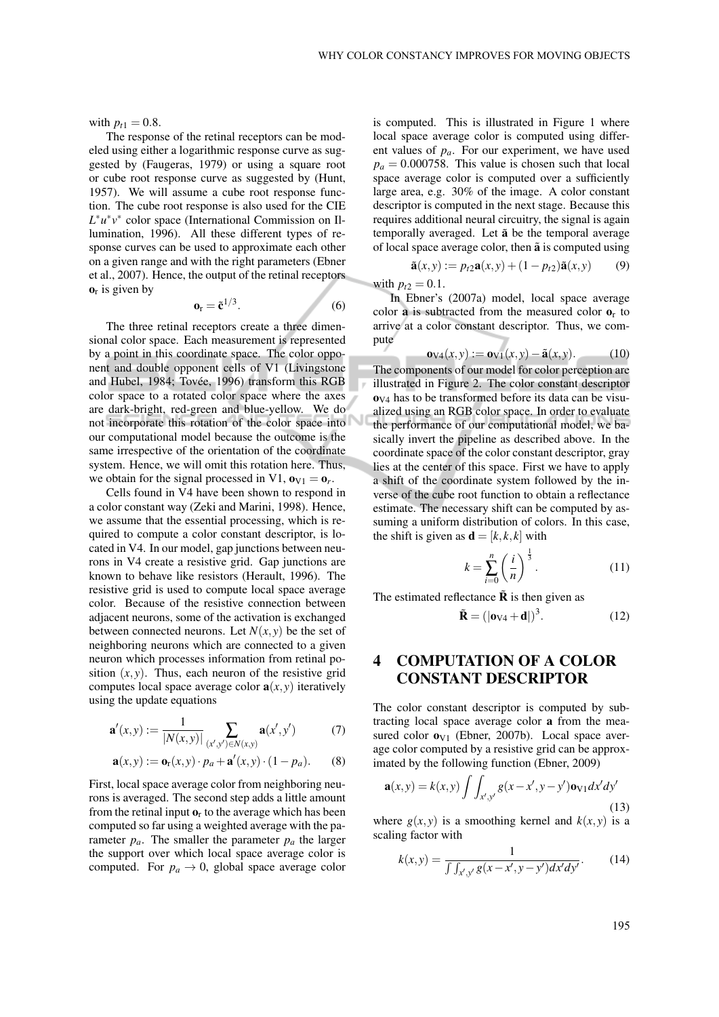with  $p_{t1} = 0.8$ .

The response of the retinal receptors can be modeled using either a logarithmic response curve as suggested by (Faugeras, 1979) or using a square root or cube root response curve as suggested by (Hunt, 1957). We will assume a cube root response function. The cube root response is also used for the CIE *L* ∗*u* ∗ *v* ∗ color space (International Commission on Illumination, 1996). All these different types of response curves can be used to approximate each other on a given range and with the right parameters (Ebner et al., 2007). Hence, the output of the retinal receptors  $\mathbf{o}_r$  is given by

$$
\mathbf{o}_{\mathbf{r}} = \tilde{\mathbf{c}}^{1/3}.
$$
 (6)

The three retinal receptors create a three dimensional color space. Each measurement is represented by a point in this coordinate space. The color opponent and double opponent cells of V1 (Livingstone and Hubel, 1984; Tovée, 1996) transform this RGB color space to a rotated color space where the axes are dark-bright, red-green and blue-yellow. We do not incorporate this rotation of the color space into our computational model because the outcome is the same irrespective of the orientation of the coordinate system. Hence, we will omit this rotation here. Thus, we obtain for the signal processed in V1,  $\mathbf{o}_{V1} = \mathbf{o}_r$ .

Cells found in V4 have been shown to respond in a color constant way (Zeki and Marini, 1998). Hence, we assume that the essential processing, which is required to compute a color constant descriptor, is located in V4. In our model, gap junctions between neurons in V4 create a resistive grid. Gap junctions are known to behave like resistors (Herault, 1996). The resistive grid is used to compute local space average color. Because of the resistive connection between adjacent neurons, some of the activation is exchanged between connected neurons. Let  $N(x, y)$  be the set of neighboring neurons which are connected to a given neuron which processes information from retinal position  $(x, y)$ . Thus, each neuron of the resistive grid computes local space average color  $a(x, y)$  iteratively using the update equations

$$
\mathbf{a}'(x,y) := \frac{1}{|N(x,y)|} \sum_{(x',y') \in N(x,y)} \mathbf{a}(x',y')
$$
(7)

$$
\mathbf{a}(x, y) := \mathbf{o}_{\mathbf{r}}(x, y) \cdot p_a + \mathbf{a}'(x, y) \cdot (1 - p_a). \tag{8}
$$

First, local space average color from neighboring neurons is averaged. The second step adds a little amount from the retinal input  $\mathbf{o}_r$  to the average which has been computed so far using a weighted average with the parameter  $p_a$ . The smaller the parameter  $p_a$  the larger the support over which local space average color is computed. For  $p_a \rightarrow 0$ , global space average color is computed. This is illustrated in Figure 1 where local space average color is computed using different values of *pa*. For our experiment, we have used  $p_a = 0.000758$ . This value is chosen such that local space average color is computed over a sufficiently large area, e.g. 30% of the image. A color constant descriptor is computed in the next stage. Because this requires additional neural circuitry, the signal is again temporally averaged. Let  $\tilde{a}$  be the temporal average of local space average color, then  $\tilde{a}$  is computed using

$$
\tilde{\mathbf{a}}(x, y) := p_{t2} \mathbf{a}(x, y) + (1 - p_{t2}) \tilde{\mathbf{a}}(x, y) \tag{9}
$$

with  $p_{t2} = 0.1$ .

In Ebner's (2007a) model, local space average color **a** is subtracted from the measured color  $\mathbf{o}_r$  to arrive at a color constant descriptor. Thus, we compute

$$
\mathbf{o}_{\mathrm{V4}}(x,y) := \mathbf{o}_{\mathrm{V1}}(x,y) - \tilde{\mathbf{a}}(x,y). \tag{10}
$$

The components of our model for color perception are illustrated in Figure 2. The color constant descriptor  **has to be transformed before its data can be visu**alized using an RGB color space. In order to evaluate the performance of our computational model, we basically invert the pipeline as described above. In the coordinate space of the color constant descriptor, gray lies at the center of this space. First we have to apply a shift of the coordinate system followed by the inverse of the cube root function to obtain a reflectance estimate. The necessary shift can be computed by assuming a uniform distribution of colors. In this case, the shift is given as  $\mathbf{d} = [k, k, k]$  with

$$
k = \sum_{i=0}^{n} \left(\frac{i}{n}\right)^{\frac{1}{3}}.
$$
 (11)

The estimated reflectance  $\ddot{\mathbf{R}}$  is then given as

$$
\tilde{\mathbf{R}} = (|\mathbf{o}_{V4} + \mathbf{d}|)^3. \tag{12}
$$

# 4 COMPUTATION OF A COLOR CONSTANT DESCRIPTOR

The color constant descriptor is computed by subtracting local space average color a from the measured color  $\mathbf{o}_{V1}$  (Ebner, 2007b). Local space average color computed by a resistive grid can be approximated by the following function (Ebner, 2009)

$$
\mathbf{a}(x,y) = k(x,y) \int \int_{x',y'} g(x-x',y-y') \mathbf{v}_V \, dx' \, dy' \tag{13}
$$

where  $g(x, y)$  is a smoothing kernel and  $k(x, y)$  is a scaling factor with

$$
k(x, y) = \frac{1}{\int \int_{x', y'} g(x - x', y - y') dx' dy'}.
$$
 (14)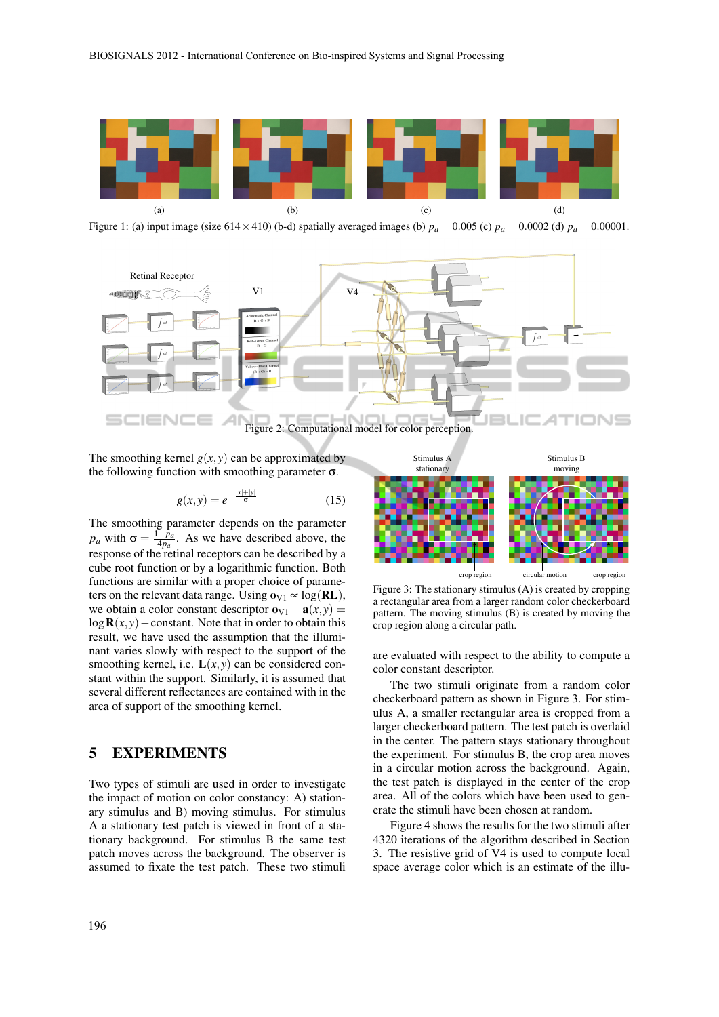

Figure 1: (a) input image (size 614 × 410) (b-d) spatially averaged images (b)  $p_a = 0.005$  (c)  $p_a = 0.0002$  (d)  $p_a = 0.00001$ .



The smoothing kernel  $g(x, y)$  can be approximated by the following function with smoothing parameter  $\sigma$ .

$$
g(x, y) = e^{-\frac{|x| + |y|}{\sigma}}
$$
 (15)

The smoothing parameter depends on the parameter *p<sub>a</sub>* with  $\sigma = \frac{1-p_a}{4p_a}$  $\frac{-p_a}{4p_a}$ . As we have described above, the response of the retinal receptors can be described by a cube root function or by a logarithmic function. Both functions are similar with a proper choice of parameters on the relevant data range. Using  $\mathbf{o}_{V1} \propto \log(\mathbf{RL})$ , we obtain a color constant descriptor  $\mathbf{o}_{V1} - \mathbf{a}(x, y) =$  $\log R(x, y)$  − constant. Note that in order to obtain this result, we have used the assumption that the illuminant varies slowly with respect to the support of the smoothing kernel, i.e.  $L(x, y)$  can be considered constant within the support. Similarly, it is assumed that several different reflectances are contained with in the area of support of the smoothing kernel.

### 5 EXPERIMENTS

Two types of stimuli are used in order to investigate the impact of motion on color constancy: A) stationary stimulus and B) moving stimulus. For stimulus A a stationary test patch is viewed in front of a stationary background. For stimulus B the same test patch moves across the background. The observer is assumed to fixate the test patch. These two stimuli



Figure 3: The stationary stimulus (A) is created by cropping a rectangular area from a larger random color checkerboard pattern. The moving stimulus (B) is created by moving the crop region along a circular path.

are evaluated with respect to the ability to compute a color constant descriptor.

The two stimuli originate from a random color checkerboard pattern as shown in Figure 3. For stimulus A, a smaller rectangular area is cropped from a larger checkerboard pattern. The test patch is overlaid in the center. The pattern stays stationary throughout the experiment. For stimulus B, the crop area moves in a circular motion across the background. Again, the test patch is displayed in the center of the crop area. All of the colors which have been used to generate the stimuli have been chosen at random.

Figure 4 shows the results for the two stimuli after 4320 iterations of the algorithm described in Section 3. The resistive grid of V4 is used to compute local space average color which is an estimate of the illu-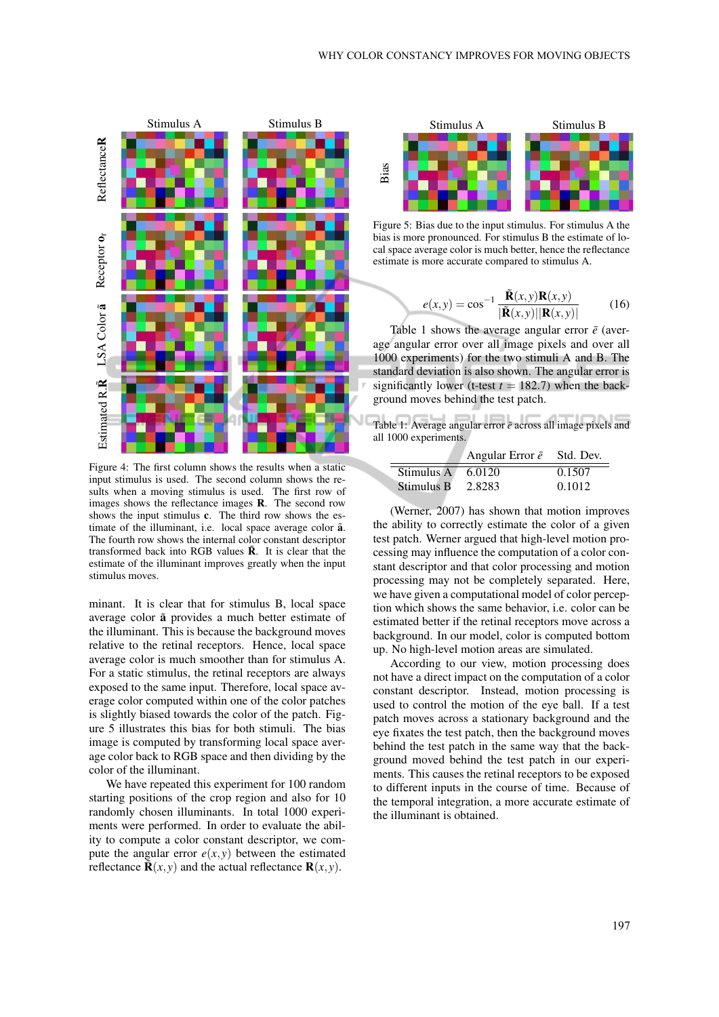

Figure 4: The first column shows the results when a static input stimulus is used. The second column shows the results when a moving stimulus is used. The first row of images shows the reflectance images R. The second row shows the input stimulus c. The third row shows the estimate of the illuminant, i.e. local space average color  $\tilde{a}$ . The fourth row shows the internal color constant descriptor transformed back into RGB values  $\tilde{R}$ . It is clear that the estimate of the illuminant improves greatly when the input stimulus moves.

minant. It is clear that for stimulus B, local space average color  $\tilde{a}$  provides a much better estimate of the illuminant. This is because the background moves relative to the retinal receptors. Hence, local space average color is much smoother than for stimulus A. For a static stimulus, the retinal receptors are always exposed to the same input. Therefore, local space average color computed within one of the color patches is slightly biased towards the color of the patch. Figure 5 illustrates this bias for both stimuli. The bias image is computed by transforming local space average color back to RGB space and then dividing by the color of the illuminant.

We have repeated this experiment for 100 random starting positions of the crop region and also for 10 randomly chosen illuminants. In total 1000 experiments were performed. In order to evaluate the ability to compute a color constant descriptor, we compute the angular error  $e(x, y)$  between the estimated reflectance  $\mathbf{\tilde{R}}(x, y)$  and the actual reflectance  $\mathbf{R}(x, y)$ .



Figure 5: Bias due to the input stimulus. For stimulus A the bias is more pronounced. For stimulus B the estimate of local space average color is much better, hence the reflectance estimate is more accurate compared to stimulus A.

$$
e(x,y) = \cos^{-1} \frac{\tilde{\mathbf{R}}(x,y)\mathbf{R}(x,y)}{|\tilde{\mathbf{R}}(x,y)||\mathbf{R}(x,y)|}
$$
(16)

Table 1 shows the average angular error  $\bar{e}$  (average angular error over all image pixels and over all 1000 experiments) for the two stimuli A and B. The standard deviation is also shown. The angular error is significantly lower (t-test  $t = 182.7$ ) when the background moves behind the test patch.

| Table 1: Average angular error $\bar{e}$ across all image pixels and<br>all 1000 experiments. |  |
|-----------------------------------------------------------------------------------------------|--|

|                       | Angular Error $\bar{e}$ Std. Dev. |        |
|-----------------------|-----------------------------------|--------|
| Stimulus $A = 6.0120$ |                                   | 0.1507 |
| Stimulus B            | 2.8283                            | 0.1012 |

(Werner, 2007) has shown that motion improves the ability to correctly estimate the color of a given test patch. Werner argued that high-level motion processing may influence the computation of a color constant descriptor and that color processing and motion processing may not be completely separated. Here, we have given a computational model of color perception which shows the same behavior, i.e. color can be estimated better if the retinal receptors move across a background. In our model, color is computed bottom up. No high-level motion areas are simulated.

According to our view, motion processing does not have a direct impact on the computation of a color constant descriptor. Instead, motion processing is used to control the motion of the eye ball. If a test patch moves across a stationary background and the eye fixates the test patch, then the background moves behind the test patch in the same way that the background moved behind the test patch in our experiments. This causes the retinal receptors to be exposed to different inputs in the course of time. Because of the temporal integration, a more accurate estimate of the illuminant is obtained.